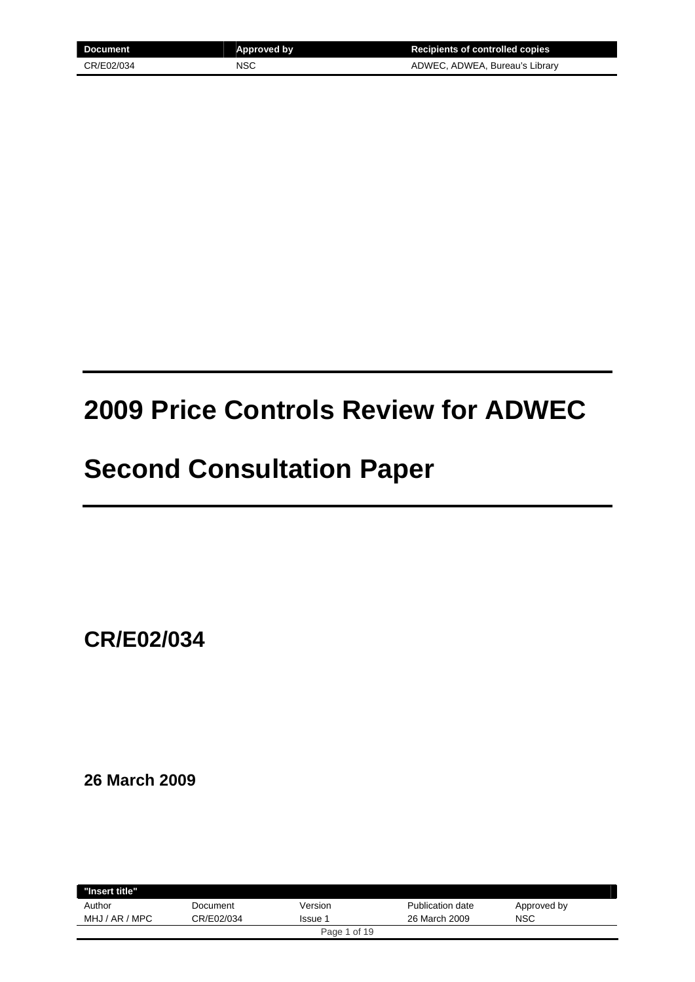| Document   | <b>Approved by</b> | <b>Recipients of controlled copies</b> |
|------------|--------------------|----------------------------------------|
| CR/E02/034 | NSC                | ADWEC, ADWEA, Bureau's Library         |

# **2009 Price Controls Review for ADWEC**

## **Second Consultation Paper**

**CR/E02/034** 

**26 March 2009** 

| "Insert title" |            |                |                  |             |  |
|----------------|------------|----------------|------------------|-------------|--|
| Author         | Document   | Version        | Publication date | Approved by |  |
| MHJ / AR / MPC | CR/E02/034 | <b>Issue 1</b> | 26 March 2009    | <b>NSC</b>  |  |
|                |            | Page 1 of 19   |                  |             |  |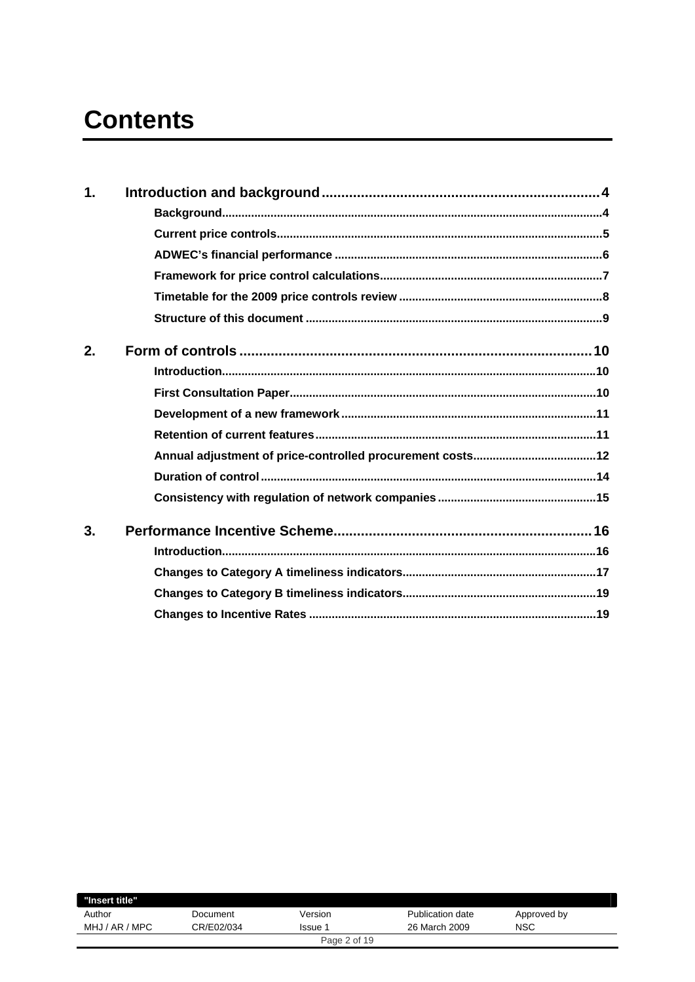# **Contents**

| $\mathbf 1$ . |  |
|---------------|--|
|               |  |
|               |  |
|               |  |
|               |  |
|               |  |
|               |  |
| 2.            |  |
|               |  |
|               |  |
|               |  |
|               |  |
|               |  |
|               |  |
|               |  |
| 3.            |  |
|               |  |
|               |  |
|               |  |
|               |  |
|               |  |

| "Insert title" |            |              |                  |             |
|----------------|------------|--------------|------------------|-------------|
| Author         | Document   | Version      | Publication date | Approved by |
| MHJ / AR / MPC | CR/E02/034 | lssue 1      | 26 March 2009    | <b>NSC</b>  |
|                |            | Page 2 of 19 |                  |             |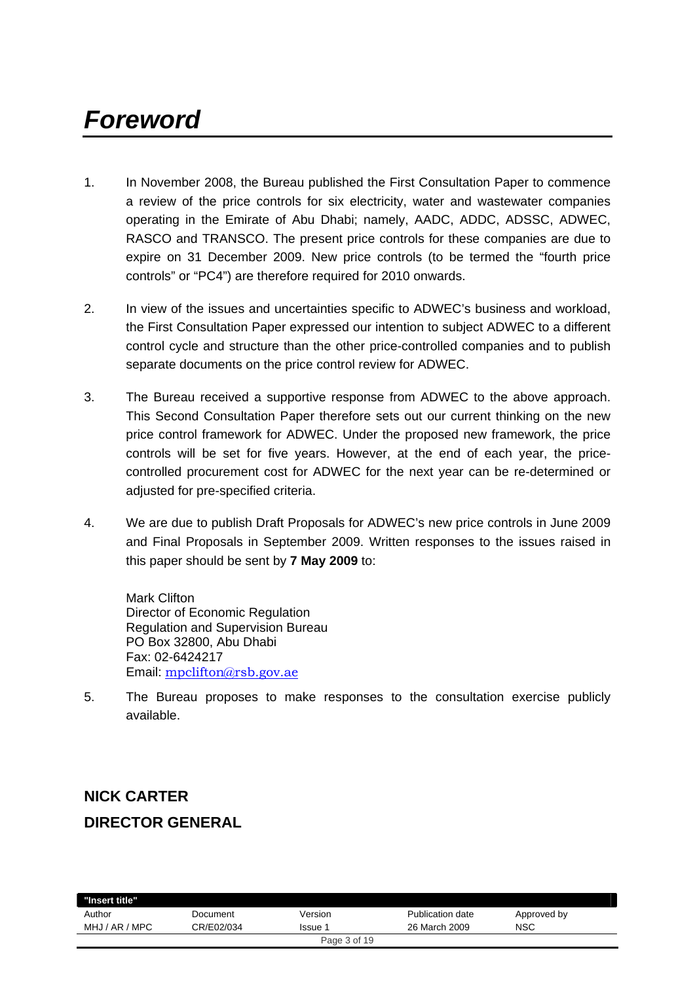# *Foreword*

- 1. In November 2008, the Bureau published the First Consultation Paper to commence a review of the price controls for six electricity, water and wastewater companies operating in the Emirate of Abu Dhabi; namely, AADC, ADDC, ADSSC, ADWEC, RASCO and TRANSCO. The present price controls for these companies are due to expire on 31 December 2009. New price controls (to be termed the "fourth price controls" or "PC4") are therefore required for 2010 onwards.
- 2. In view of the issues and uncertainties specific to ADWEC's business and workload, the First Consultation Paper expressed our intention to subject ADWEC to a different control cycle and structure than the other price-controlled companies and to publish separate documents on the price control review for ADWEC.
- 3. The Bureau received a supportive response from ADWEC to the above approach. This Second Consultation Paper therefore sets out our current thinking on the new price control framework for ADWEC. Under the proposed new framework, the price controls will be set for five years. However, at the end of each year, the pricecontrolled procurement cost for ADWEC for the next year can be re-determined or adjusted for pre-specified criteria.
- 4. We are due to publish Draft Proposals for ADWEC's new price controls in June 2009 and Final Proposals in September 2009. Written responses to the issues raised in this paper should be sent by **7 May 2009** to:

Mark Clifton Director of Economic Regulation Regulation and Supervision Bureau PO Box 32800, Abu Dhabi Fax: 02-6424217 Email: mpclifton@rsb.gov.ae

5. The Bureau proposes to make responses to the consultation exercise publicly available.

## **NICK CARTER DIRECTOR GENERAL**

| "Insert title" |            |              |                  |             |
|----------------|------------|--------------|------------------|-------------|
| Author         | Document   | Version      | Publication date | Approved by |
| MHJ / AR / MPC | CR/E02/034 | Issue 1      | 26 March 2009    | <b>NSC</b>  |
|                |            | Page 3 of 19 |                  |             |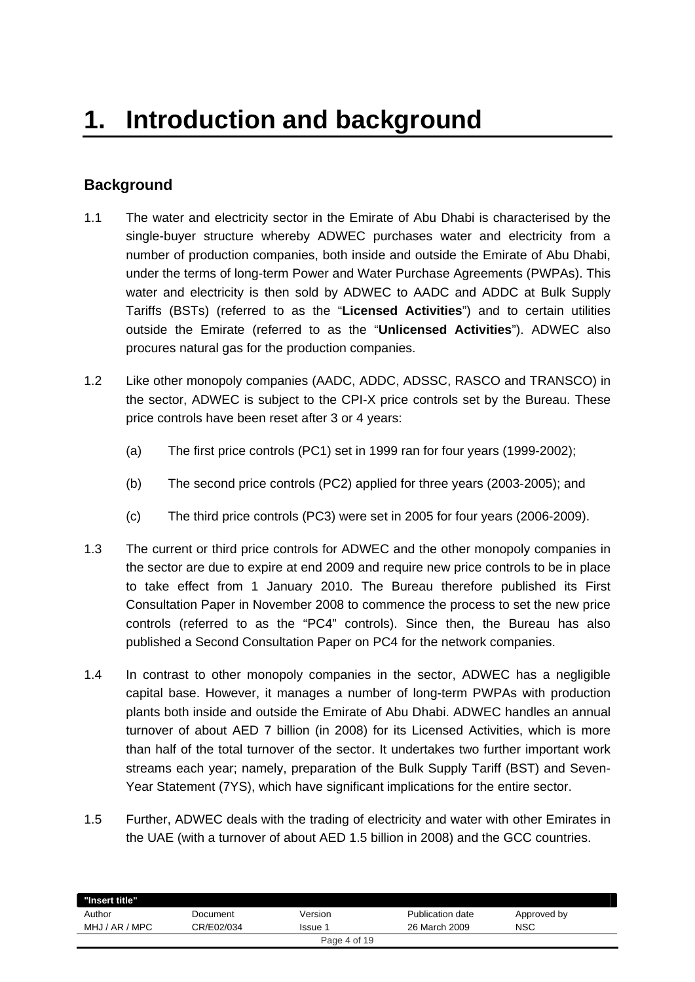## **Background**

- 1.1 The water and electricity sector in the Emirate of Abu Dhabi is characterised by the single-buyer structure whereby ADWEC purchases water and electricity from a number of production companies, both inside and outside the Emirate of Abu Dhabi, under the terms of long-term Power and Water Purchase Agreements (PWPAs). This water and electricity is then sold by ADWEC to AADC and ADDC at Bulk Supply Tariffs (BSTs) (referred to as the "**Licensed Activities**") and to certain utilities outside the Emirate (referred to as the "**Unlicensed Activities**"). ADWEC also procures natural gas for the production companies.
- 1.2 Like other monopoly companies (AADC, ADDC, ADSSC, RASCO and TRANSCO) in the sector, ADWEC is subject to the CPI-X price controls set by the Bureau. These price controls have been reset after 3 or 4 years:
	- (a) The first price controls (PC1) set in 1999 ran for four years (1999-2002);
	- (b) The second price controls (PC2) applied for three years (2003-2005); and
	- (c) The third price controls (PC3) were set in 2005 for four years (2006-2009).
- 1.3 The current or third price controls for ADWEC and the other monopoly companies in the sector are due to expire at end 2009 and require new price controls to be in place to take effect from 1 January 2010. The Bureau therefore published its First Consultation Paper in November 2008 to commence the process to set the new price controls (referred to as the "PC4" controls). Since then, the Bureau has also published a Second Consultation Paper on PC4 for the network companies.
- 1.4 In contrast to other monopoly companies in the sector, ADWEC has a negligible capital base. However, it manages a number of long-term PWPAs with production plants both inside and outside the Emirate of Abu Dhabi. ADWEC handles an annual turnover of about AED 7 billion (in 2008) for its Licensed Activities, which is more than half of the total turnover of the sector. It undertakes two further important work streams each year; namely, preparation of the Bulk Supply Tariff (BST) and Seven-Year Statement (7YS), which have significant implications for the entire sector.
- 1.5 Further, ADWEC deals with the trading of electricity and water with other Emirates in the UAE (with a turnover of about AED 1.5 billion in 2008) and the GCC countries.

| "Insert title" |            |              |                  |             |  |
|----------------|------------|--------------|------------------|-------------|--|
| Author         | Document   | Version      | Publication date | Approved by |  |
| MHJ / AR / MPC | CR/E02/034 | <b>Issue</b> | 26 March 2009    | NSC         |  |
|                |            | Page 4 of 19 |                  |             |  |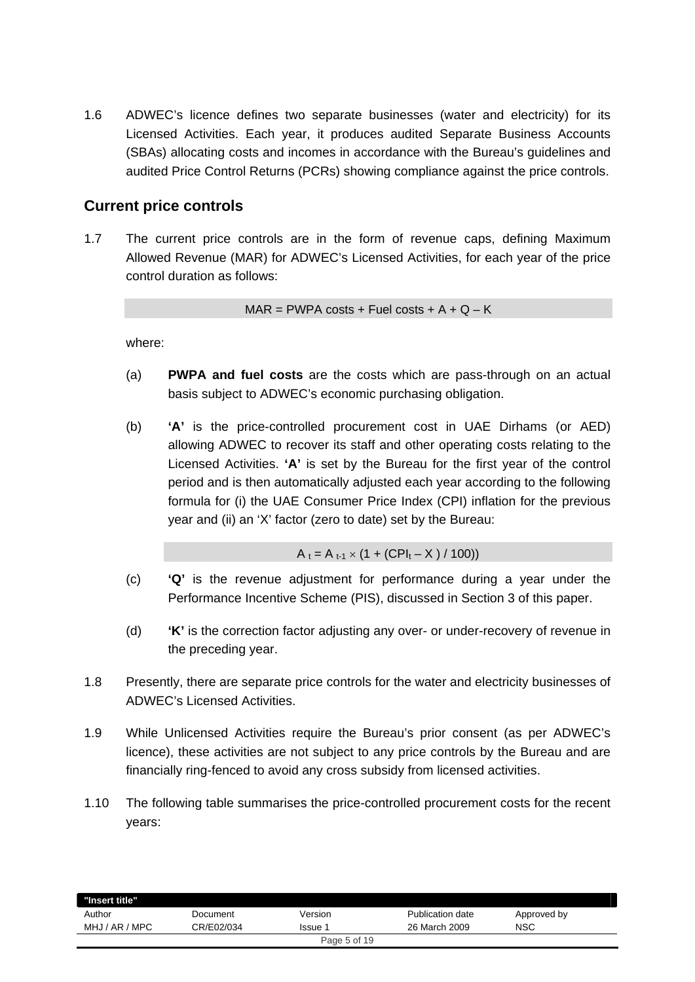1.6 ADWEC's licence defines two separate businesses (water and electricity) for its Licensed Activities. Each year, it produces audited Separate Business Accounts (SBAs) allocating costs and incomes in accordance with the Bureau's guidelines and audited Price Control Returns (PCRs) showing compliance against the price controls.

## **Current price controls**

1.7 The current price controls are in the form of revenue caps, defining Maximum Allowed Revenue (MAR) for ADWEC's Licensed Activities, for each year of the price control duration as follows:

 $MAR = PWPA \text{ costs } + Fuel \text{ costs } + A + Q - K$ 

where:

- (a) **PWPA and fuel costs** are the costs which are pass-through on an actual basis subject to ADWEC's economic purchasing obligation.
- (b) **'A'** is the price-controlled procurement cost in UAE Dirhams (or AED) allowing ADWEC to recover its staff and other operating costs relating to the Licensed Activities. **'A'** is set by the Bureau for the first year of the control period and is then automatically adjusted each year according to the following formula for (i) the UAE Consumer Price Index (CPI) inflation for the previous year and (ii) an 'X' factor (zero to date) set by the Bureau:

 $A_t = A_{t-1} \times (1 + (CPI_t - X) / 100)$ 

- (c) **'Q'** is the revenue adjustment for performance during a year under the Performance Incentive Scheme (PIS), discussed in Section 3 of this paper.
- (d) **'K'** is the correction factor adjusting any over- or under-recovery of revenue in the preceding year.
- 1.8 Presently, there are separate price controls for the water and electricity businesses of ADWEC's Licensed Activities.
- 1.9 While Unlicensed Activities require the Bureau's prior consent (as per ADWEC's licence), these activities are not subject to any price controls by the Bureau and are financially ring-fenced to avoid any cross subsidy from licensed activities.
- 1.10 The following table summarises the price-controlled procurement costs for the recent years:

| "Insert title"    |            |              |                  |             |
|-------------------|------------|--------------|------------------|-------------|
| Author            | Document   | Version      | Publication date | Approved by |
| AR / MPC<br>MHJ / | CR/E02/034 | Issue        | 26 March 2009    | NSC         |
|                   |            | Page 5 of 19 |                  |             |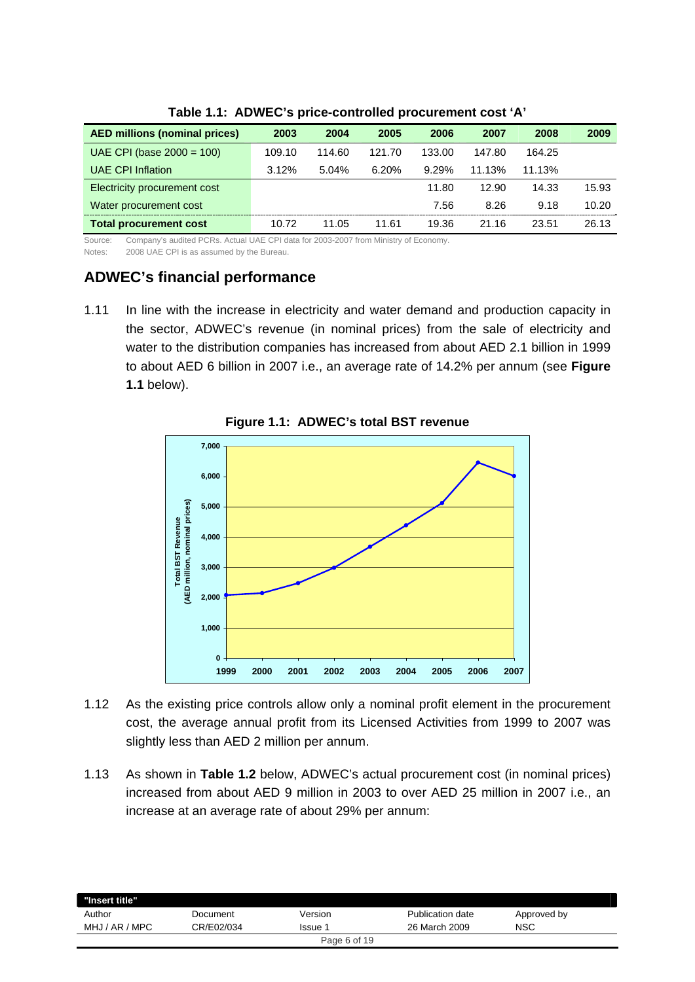| <b>AED millions (nominal prices)</b> | 2003   | 2004   | 2005   | 2006   | 2007   | 2008   | 2009  |
|--------------------------------------|--------|--------|--------|--------|--------|--------|-------|
| UAE CPI (base $2000 = 100$ )         | 109.10 | 114.60 | 121.70 | 133.00 | 147.80 | 164.25 |       |
| <b>UAE CPI Inflation</b>             | 3.12%  | 5.04%  | 6.20%  | 9.29%  | 11.13% | 11.13% |       |
| Electricity procurement cost         |        |        |        | 11.80  | 12.90  | 14.33  | 15.93 |
| Water procurement cost               |        |        |        | 7.56   | 8.26   | 9.18   | 10.20 |
| <b>Total procurement cost</b>        | 10.72  | 11.05  | 11.61  | 19.36  | 21.16  | 23.51  | 26.13 |
| $0 \leq \frac{1}{2}$                 |        |        |        |        |        |        |       |

**Table 1.1: ADWEC's price-controlled procurement cost 'A'** 

Source: Company's audited PCRs. Actual UAE CPI data for 2003-2007 from Ministry of Economy.

Notes: 2008 UAE CPI is as assumed by the Bureau.

## **ADWEC's financial performance**

1.11 In line with the increase in electricity and water demand and production capacity in the sector, ADWEC's revenue (in nominal prices) from the sale of electricity and water to the distribution companies has increased from about AED 2.1 billion in 1999 to about AED 6 billion in 2007 i.e., an average rate of 14.2% per annum (see **Figure 1.1** below).



**Figure 1.1: ADWEC's total BST revenue** 

- 1.12 As the existing price controls allow only a nominal profit element in the procurement cost, the average annual profit from its Licensed Activities from 1999 to 2007 was slightly less than AED 2 million per annum.
- 1.13 As shown in **Table 1.2** below, ADWEC's actual procurement cost (in nominal prices) increased from about AED 9 million in 2003 to over AED 25 million in 2007 i.e., an increase at an average rate of about 29% per annum:

| "Insert title" |            |              |                  |             |
|----------------|------------|--------------|------------------|-------------|
| Author         | Document   | Version      | Publication date | Approved by |
| MHJ / AR / MPC | CR/E02/034 | Issue        | 26 March 2009    | NSC         |
|                |            | Page 6 of 19 |                  |             |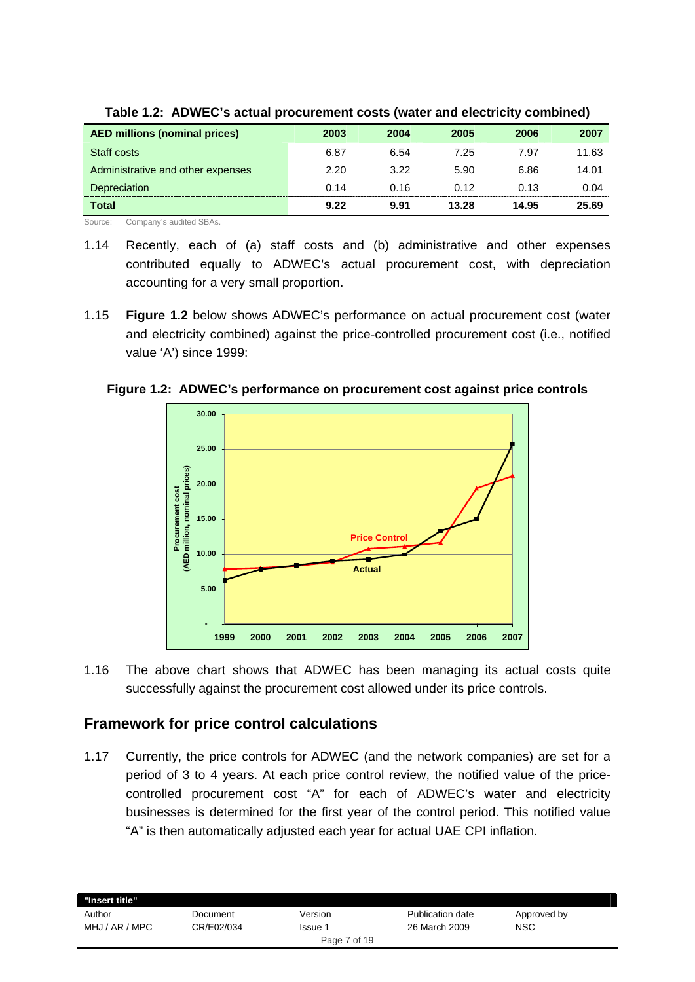| <b>AED millions (nominal prices)</b> | 2003 | 2004 | 2005  | 2006  | 2007  |
|--------------------------------------|------|------|-------|-------|-------|
| Staff costs                          | 6.87 | 6.54 | 7.25  | 7.97  | 11.63 |
| Administrative and other expenses    | 2.20 | 3.22 | 5.90  | 6.86  | 14.01 |
| Depreciation                         | 0.14 | 0.16 | 0.12  | 0.13  | 0.04  |
| Total                                | 9.22 | 9.91 | 13.28 | 14.95 | 25.69 |

**Table 1.2: ADWEC's actual procurement costs (water and electricity combined)** 

Source: Company's audited SBAs.

- 1.14 Recently, each of (a) staff costs and (b) administrative and other expenses contributed equally to ADWEC's actual procurement cost, with depreciation accounting for a very small proportion.
- 1.15 **Figure 1.2** below shows ADWEC's performance on actual procurement cost (water and electricity combined) against the price-controlled procurement cost (i.e., notified value 'A') since 1999:



**Figure 1.2: ADWEC's performance on procurement cost against price controls** 

1.16 The above chart shows that ADWEC has been managing its actual costs quite successfully against the procurement cost allowed under its price controls.

## **Framework for price control calculations**

1.17 Currently, the price controls for ADWEC (and the network companies) are set for a period of 3 to 4 years. At each price control review, the notified value of the pricecontrolled procurement cost "A" for each of ADWEC's water and electricity businesses is determined for the first year of the control period. This notified value "A" is then automatically adjusted each year for actual UAE CPI inflation.

| "Insert title" |            |              |                  |             |
|----------------|------------|--------------|------------------|-------------|
| Author         | Document   | Version      | Publication date | Approved by |
| MHJ / AR / MPC | CR/E02/034 | Issue 1      | 26 March 2009    | <b>NSC</b>  |
|                |            | Page 7 of 19 |                  |             |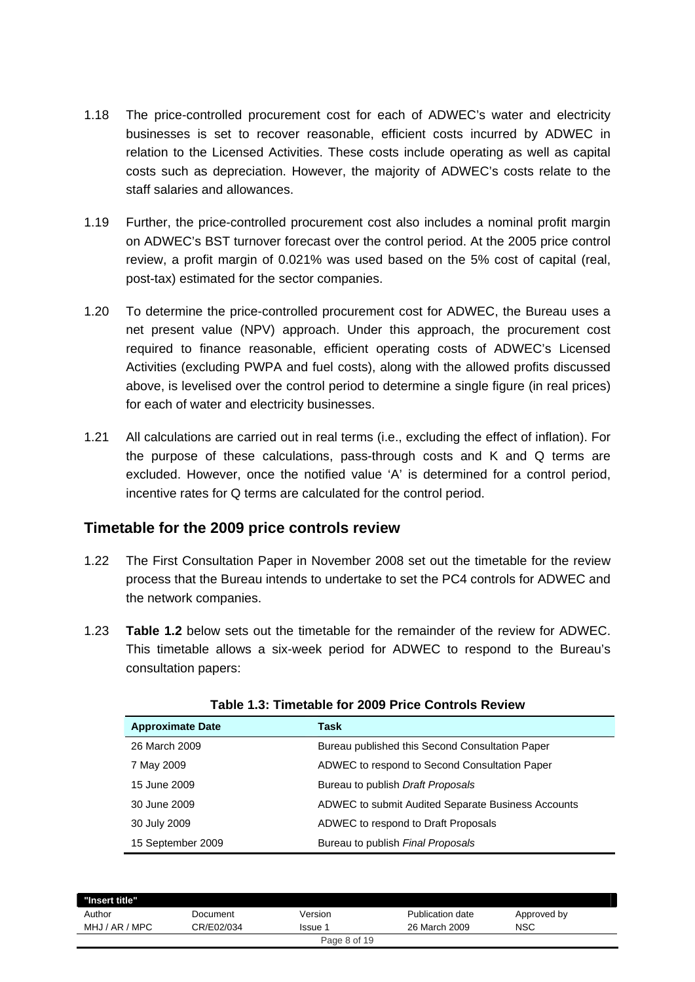- 1.18 The price-controlled procurement cost for each of ADWEC's water and electricity businesses is set to recover reasonable, efficient costs incurred by ADWEC in relation to the Licensed Activities. These costs include operating as well as capital costs such as depreciation. However, the majority of ADWEC's costs relate to the staff salaries and allowances.
- 1.19 Further, the price-controlled procurement cost also includes a nominal profit margin on ADWEC's BST turnover forecast over the control period. At the 2005 price control review, a profit margin of 0.021% was used based on the 5% cost of capital (real, post-tax) estimated for the sector companies.
- 1.20 To determine the price-controlled procurement cost for ADWEC, the Bureau uses a net present value (NPV) approach. Under this approach, the procurement cost required to finance reasonable, efficient operating costs of ADWEC's Licensed Activities (excluding PWPA and fuel costs), along with the allowed profits discussed above, is levelised over the control period to determine a single figure (in real prices) for each of water and electricity businesses.
- 1.21 All calculations are carried out in real terms (i.e., excluding the effect of inflation). For the purpose of these calculations, pass-through costs and K and Q terms are excluded. However, once the notified value 'A' is determined for a control period, incentive rates for Q terms are calculated for the control period.

### **Timetable for the 2009 price controls review**

- 1.22 The First Consultation Paper in November 2008 set out the timetable for the review process that the Bureau intends to undertake to set the PC4 controls for ADWEC and the network companies.
- 1.23 **Table 1.2** below sets out the timetable for the remainder of the review for ADWEC. This timetable allows a six-week period for ADWEC to respond to the Bureau's consultation papers:

| <b>Approximate Date</b> | Task                                               |
|-------------------------|----------------------------------------------------|
| 26 March 2009           | Bureau published this Second Consultation Paper    |
| 7 May 2009              | ADWEC to respond to Second Consultation Paper      |
| 15 June 2009            | Bureau to publish Draft Proposals                  |
| 30 June 2009            | ADWEC to submit Audited Separate Business Accounts |
| 30 July 2009            | ADWEC to respond to Draft Proposals                |
| 15 September 2009       | Bureau to publish <i>Final Proposals</i>           |

|  | Table 1.3: Timetable for 2009 Price Controls Review |  |  |  |
|--|-----------------------------------------------------|--|--|--|
|  |                                                     |  |  |  |

| "Insert title" |            |              |                  |             |
|----------------|------------|--------------|------------------|-------------|
| Author         | Document   | Version      | Publication date | Approved by |
| MHJ / AR / MPC | CR/E02/034 | lssue 1      | 26 March 2009    | <b>NSC</b>  |
|                |            | Page 8 of 19 |                  |             |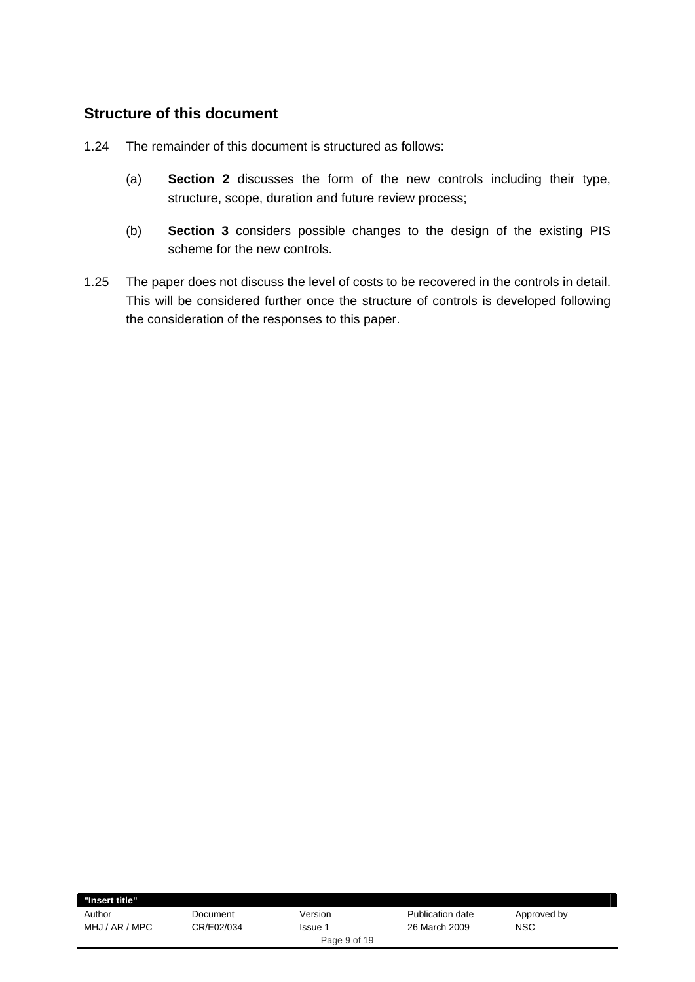## **Structure of this document**

- 1.24 The remainder of this document is structured as follows:
	- (a) **Section 2** discusses the form of the new controls including their type, structure, scope, duration and future review process;
	- (b) **Section 3** considers possible changes to the design of the existing PIS scheme for the new controls.
- 1.25 The paper does not discuss the level of costs to be recovered in the controls in detail. This will be considered further once the structure of controls is developed following the consideration of the responses to this paper.

| "Insert title"    |            |              |                         |             |
|-------------------|------------|--------------|-------------------------|-------------|
| Author            | Document   | Version      | <b>Publication date</b> | Approved by |
| AR / MPC<br>MHJ / | CR/E02/034 | Issue        | 26 March 2009           | NSC         |
|                   |            | Page 9 of 19 |                         |             |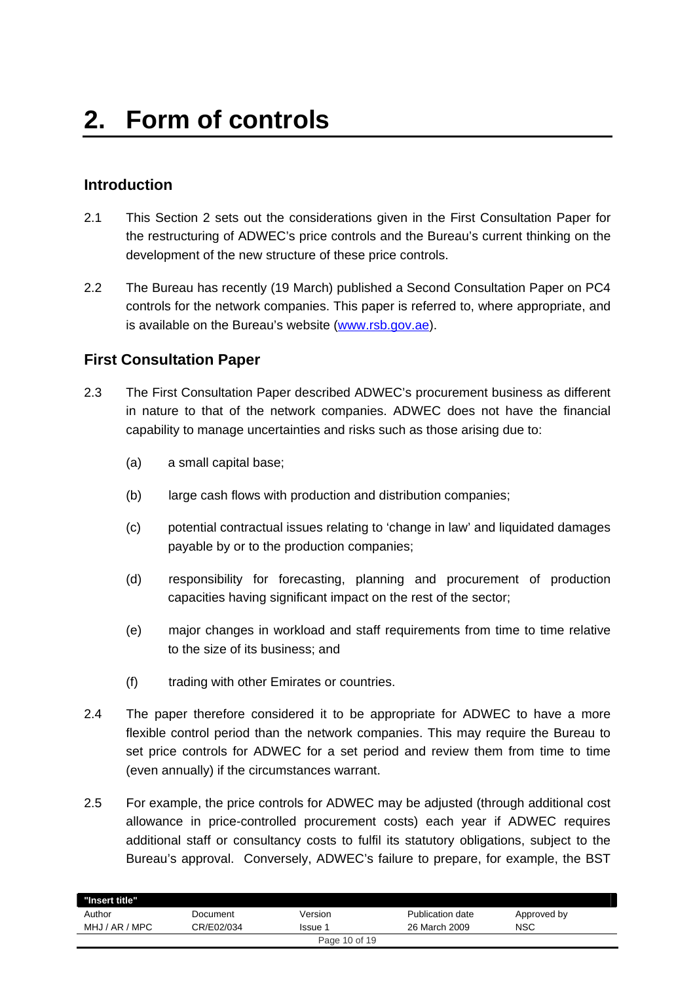## **Introduction**

- 2.1 This Section 2 sets out the considerations given in the First Consultation Paper for the restructuring of ADWEC's price controls and the Bureau's current thinking on the development of the new structure of these price controls.
- 2.2 The Bureau has recently (19 March) published a Second Consultation Paper on PC4 controls for the network companies. This paper is referred to, where appropriate, and is available on the Bureau's website (www.rsb.gov.ae).

## **First Consultation Paper**

- 2.3 The First Consultation Paper described ADWEC's procurement business as different in nature to that of the network companies. ADWEC does not have the financial capability to manage uncertainties and risks such as those arising due to:
	- (a) a small capital base;
	- (b) large cash flows with production and distribution companies;
	- (c) potential contractual issues relating to 'change in law' and liquidated damages payable by or to the production companies;
	- (d) responsibility for forecasting, planning and procurement of production capacities having significant impact on the rest of the sector;
	- (e) major changes in workload and staff requirements from time to time relative to the size of its business; and
	- (f) trading with other Emirates or countries.
- 2.4 The paper therefore considered it to be appropriate for ADWEC to have a more flexible control period than the network companies. This may require the Bureau to set price controls for ADWEC for a set period and review them from time to time (even annually) if the circumstances warrant.
- 2.5 For example, the price controls for ADWEC may be adjusted (through additional cost allowance in price-controlled procurement costs) each year if ADWEC requires additional staff or consultancy costs to fulfil its statutory obligations, subject to the Bureau's approval. Conversely, ADWEC's failure to prepare, for example, the BST

| "Insert title" |            |               |                  |             |
|----------------|------------|---------------|------------------|-------------|
| Author         | Document   | Version       | Publication date | Approved by |
| MHJ / AR / MPC | CR/E02/034 | Issue 1       | 26 March 2009    | <b>NSC</b>  |
|                |            | Page 10 of 19 |                  |             |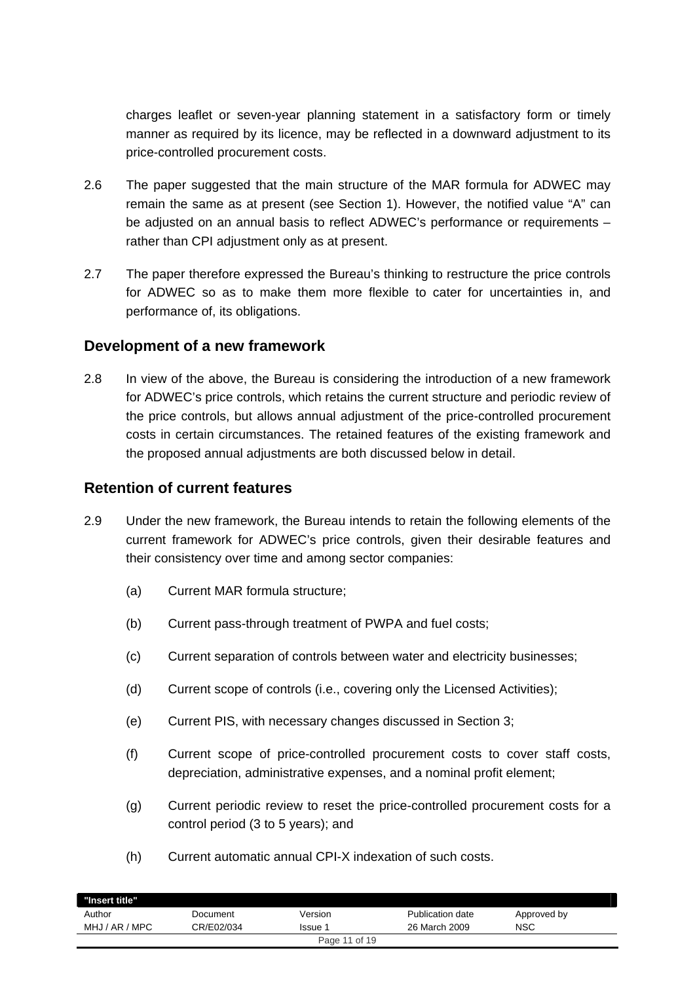charges leaflet or seven-year planning statement in a satisfactory form or timely manner as required by its licence, may be reflected in a downward adjustment to its price-controlled procurement costs.

- 2.6 The paper suggested that the main structure of the MAR formula for ADWEC may remain the same as at present (see Section 1). However, the notified value "A" can be adjusted on an annual basis to reflect ADWEC's performance or requirements – rather than CPI adjustment only as at present.
- 2.7 The paper therefore expressed the Bureau's thinking to restructure the price controls for ADWEC so as to make them more flexible to cater for uncertainties in, and performance of, its obligations.

#### **Development of a new framework**

2.8 In view of the above, the Bureau is considering the introduction of a new framework for ADWEC's price controls, which retains the current structure and periodic review of the price controls, but allows annual adjustment of the price-controlled procurement costs in certain circumstances. The retained features of the existing framework and the proposed annual adjustments are both discussed below in detail.

#### **Retention of current features**

- 2.9 Under the new framework, the Bureau intends to retain the following elements of the current framework for ADWEC's price controls, given their desirable features and their consistency over time and among sector companies:
	- (a) Current MAR formula structure;
	- (b) Current pass-through treatment of PWPA and fuel costs;
	- (c) Current separation of controls between water and electricity businesses;
	- (d) Current scope of controls (i.e., covering only the Licensed Activities);
	- (e) Current PIS, with necessary changes discussed in Section 3;
	- (f) Current scope of price-controlled procurement costs to cover staff costs, depreciation, administrative expenses, and a nominal profit element;
	- (g) Current periodic review to reset the price-controlled procurement costs for a control period (3 to 5 years); and
	- (h) Current automatic annual CPI-X indexation of such costs.

| "Insert title" |            |               |                  |             |
|----------------|------------|---------------|------------------|-------------|
| Author         | Document   | Version       | Publication date | Approved by |
| MHJ / AR / MPC | CR/E02/034 | Issue 1       | 26 March 2009    | <b>NSC</b>  |
|                |            | Page 11 of 19 |                  |             |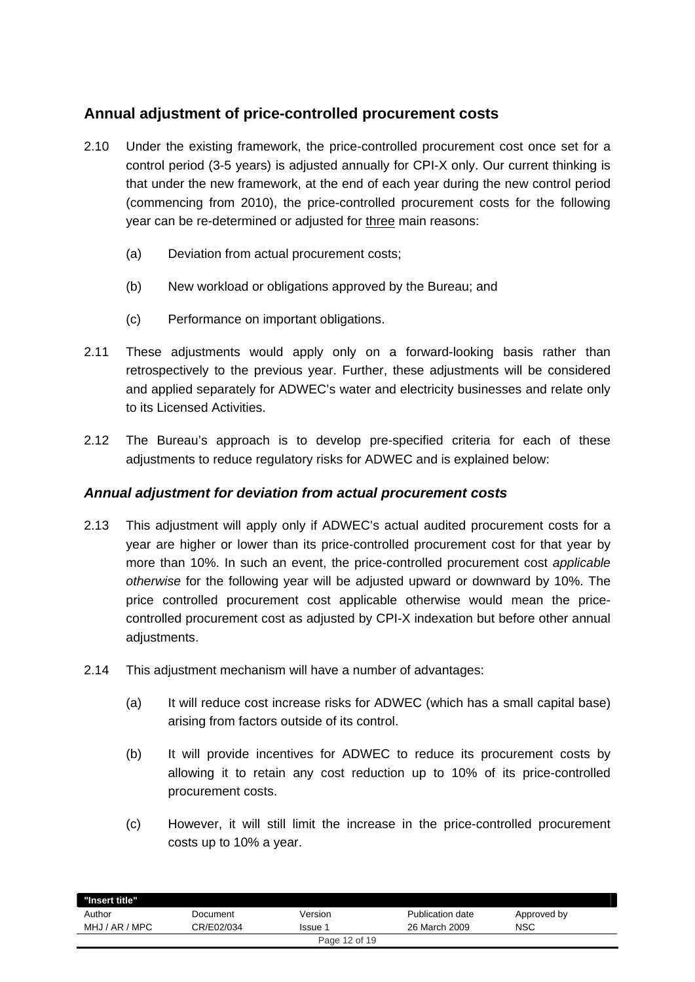## **Annual adjustment of price-controlled procurement costs**

- 2.10 Under the existing framework, the price-controlled procurement cost once set for a control period (3-5 years) is adjusted annually for CPI-X only. Our current thinking is that under the new framework, at the end of each year during the new control period (commencing from 2010), the price-controlled procurement costs for the following year can be re-determined or adjusted for three main reasons:
	- (a) Deviation from actual procurement costs;
	- (b) New workload or obligations approved by the Bureau; and
	- (c) Performance on important obligations.
- 2.11 These adjustments would apply only on a forward-looking basis rather than retrospectively to the previous year. Further, these adjustments will be considered and applied separately for ADWEC's water and electricity businesses and relate only to its Licensed Activities.
- 2.12 The Bureau's approach is to develop pre-specified criteria for each of these adjustments to reduce regulatory risks for ADWEC and is explained below:

#### *Annual adjustment for deviation from actual procurement costs*

- 2.13 This adjustment will apply only if ADWEC's actual audited procurement costs for a year are higher or lower than its price-controlled procurement cost for that year by more than 10%. In such an event, the price-controlled procurement cost *applicable otherwise* for the following year will be adjusted upward or downward by 10%. The price controlled procurement cost applicable otherwise would mean the pricecontrolled procurement cost as adjusted by CPI-X indexation but before other annual adjustments.
- 2.14 This adjustment mechanism will have a number of advantages:
	- (a) It will reduce cost increase risks for ADWEC (which has a small capital base) arising from factors outside of its control.
	- (b) It will provide incentives for ADWEC to reduce its procurement costs by allowing it to retain any cost reduction up to 10% of its price-controlled procurement costs.
	- (c) However, it will still limit the increase in the price-controlled procurement costs up to 10% a year.

| "Insert title" |            |               |                  |             |  |
|----------------|------------|---------------|------------------|-------------|--|
| Author         | Document   | Version       | Publication date | Approved by |  |
| MHJ / AR / MPC | CR/E02/034 | Issue 1       | 26 March 2009    | NSC         |  |
|                |            | Page 12 of 19 |                  |             |  |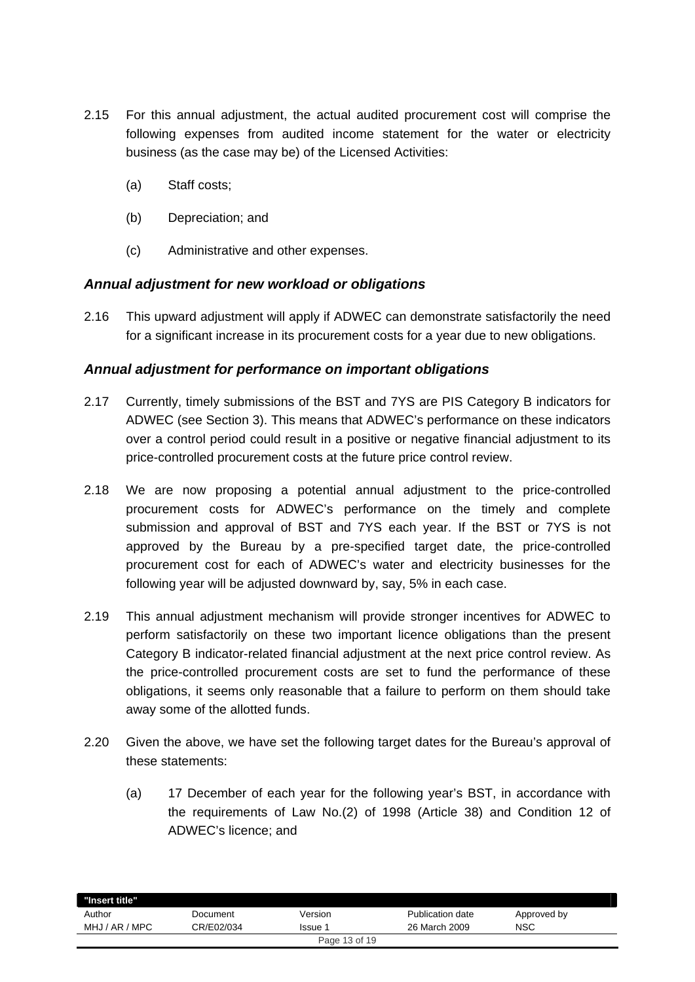- 2.15 For this annual adjustment, the actual audited procurement cost will comprise the following expenses from audited income statement for the water or electricity business (as the case may be) of the Licensed Activities:
	- (a) Staff costs;
	- (b) Depreciation; and
	- (c) Administrative and other expenses.

#### *Annual adjustment for new workload or obligations*

2.16 This upward adjustment will apply if ADWEC can demonstrate satisfactorily the need for a significant increase in its procurement costs for a year due to new obligations.

#### *Annual adjustment for performance on important obligations*

- 2.17 Currently, timely submissions of the BST and 7YS are PIS Category B indicators for ADWEC (see Section 3). This means that ADWEC's performance on these indicators over a control period could result in a positive or negative financial adjustment to its price-controlled procurement costs at the future price control review.
- 2.18 We are now proposing a potential annual adjustment to the price-controlled procurement costs for ADWEC's performance on the timely and complete submission and approval of BST and 7YS each year. If the BST or 7YS is not approved by the Bureau by a pre-specified target date, the price-controlled procurement cost for each of ADWEC's water and electricity businesses for the following year will be adjusted downward by, say, 5% in each case.
- 2.19 This annual adjustment mechanism will provide stronger incentives for ADWEC to perform satisfactorily on these two important licence obligations than the present Category B indicator-related financial adjustment at the next price control review. As the price-controlled procurement costs are set to fund the performance of these obligations, it seems only reasonable that a failure to perform on them should take away some of the allotted funds.
- 2.20 Given the above, we have set the following target dates for the Bureau's approval of these statements:
	- (a) 17 December of each year for the following year's BST, in accordance with the requirements of Law No.(2) of 1998 (Article 38) and Condition 12 of ADWEC's licence; and

| "Insert title" |            |               |                  |             |
|----------------|------------|---------------|------------------|-------------|
| Author         | Document   | Version       | Publication date | Approved by |
| MHJ / AR / MPC | CR/E02/034 | Issue 1       | 26 March 2009    | <b>NSC</b>  |
|                |            | Page 13 of 19 |                  |             |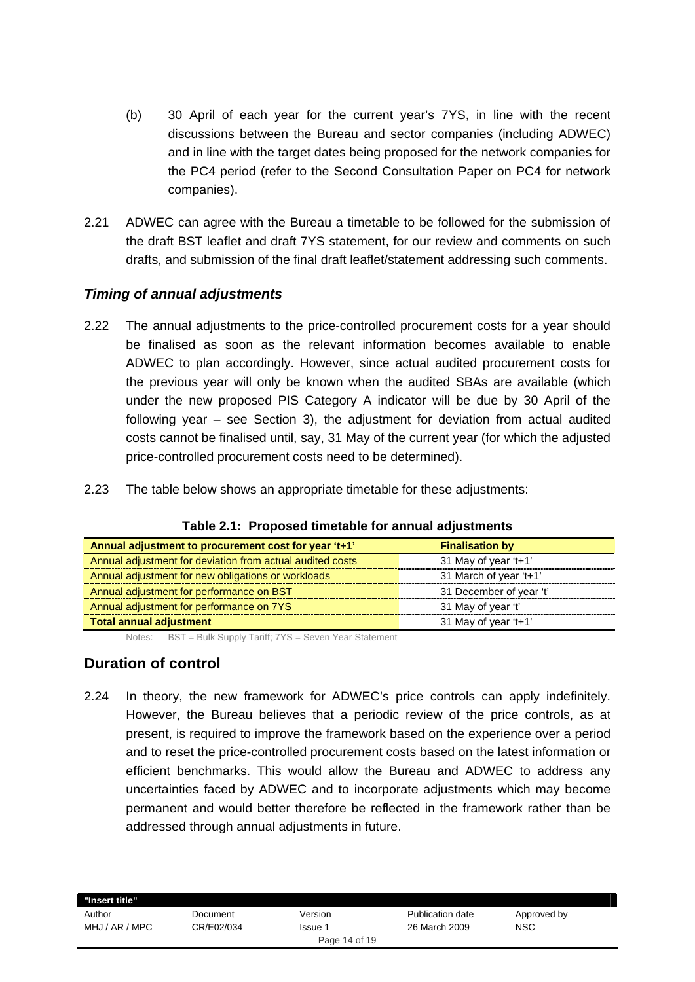- (b) 30 April of each year for the current year's 7YS, in line with the recent discussions between the Bureau and sector companies (including ADWEC) and in line with the target dates being proposed for the network companies for the PC4 period (refer to the Second Consultation Paper on PC4 for network companies).
- 2.21 ADWEC can agree with the Bureau a timetable to be followed for the submission of the draft BST leaflet and draft 7YS statement, for our review and comments on such drafts, and submission of the final draft leaflet/statement addressing such comments.

#### *Timing of annual adjustments*

- 2.22 The annual adjustments to the price-controlled procurement costs for a year should be finalised as soon as the relevant information becomes available to enable ADWEC to plan accordingly. However, since actual audited procurement costs for the previous year will only be known when the audited SBAs are available (which under the new proposed PIS Category A indicator will be due by 30 April of the following year – see Section 3), the adjustment for deviation from actual audited costs cannot be finalised until, say, 31 May of the current year (for which the adjusted price-controlled procurement costs need to be determined).
- 2.23 The table below shows an appropriate timetable for these adjustments:

| Annual adjustment to procurement cost for year 't+1'      | <b>Finalisation by</b>  |
|-----------------------------------------------------------|-------------------------|
| Annual adjustment for deviation from actual audited costs | 31 May of year 't+1'    |
| Annual adjustment for new obligations or workloads        | 31 March of year 't+1'  |
| Annual adjustment for performance on BST                  | 31 December of year 't' |
| Annual adjustment for performance on 7YS                  | 31 May of year 't'      |
| <b>Total annual adjustment</b>                            | 31 May of year 't+1'    |

#### **Table 2.1: Proposed timetable for annual adjustments**

Notes: BST = Bulk Supply Tariff; 7YS = Seven Year Statement

### **Duration of control**

2.24 In theory, the new framework for ADWEC's price controls can apply indefinitely. However, the Bureau believes that a periodic review of the price controls, as at present, is required to improve the framework based on the experience over a period and to reset the price-controlled procurement costs based on the latest information or efficient benchmarks. This would allow the Bureau and ADWEC to address any uncertainties faced by ADWEC and to incorporate adjustments which may become permanent and would better therefore be reflected in the framework rather than be addressed through annual adjustments in future.

| "Insert title" |            |               |                  |             |
|----------------|------------|---------------|------------------|-------------|
| Author         | Document   | Version       | Publication date | Approved by |
| MHJ / AR / MPC | CR/E02/034 | lssue 1       | 26 March 2009    | NSC         |
|                |            | Page 14 of 19 |                  |             |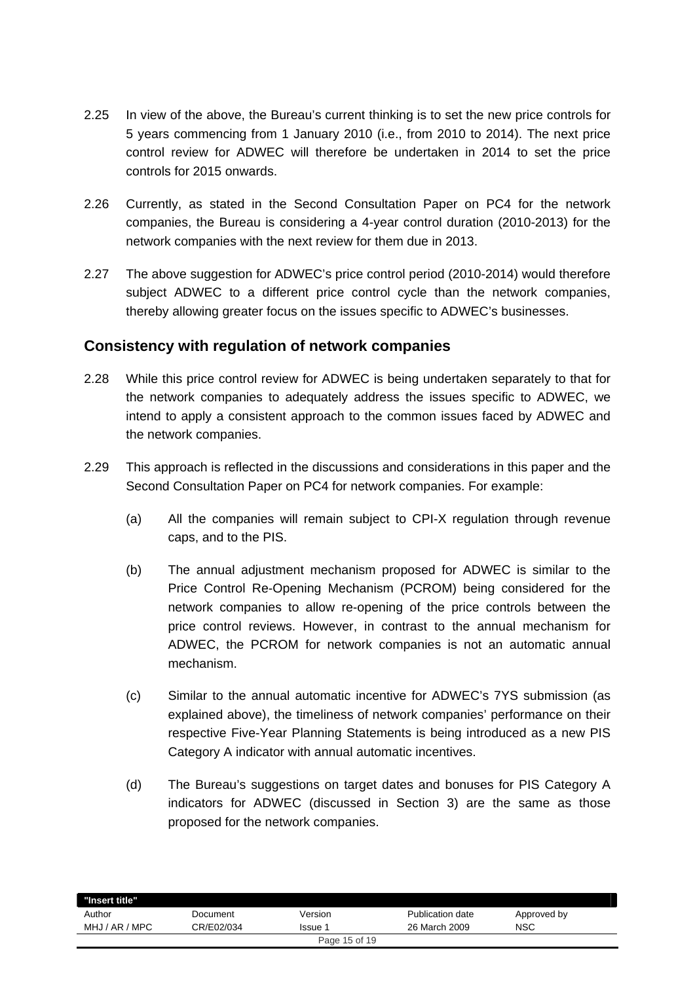- 2.25 In view of the above, the Bureau's current thinking is to set the new price controls for 5 years commencing from 1 January 2010 (i.e., from 2010 to 2014). The next price control review for ADWEC will therefore be undertaken in 2014 to set the price controls for 2015 onwards.
- 2.26 Currently, as stated in the Second Consultation Paper on PC4 for the network companies, the Bureau is considering a 4-year control duration (2010-2013) for the network companies with the next review for them due in 2013.
- 2.27 The above suggestion for ADWEC's price control period (2010-2014) would therefore subject ADWEC to a different price control cycle than the network companies, thereby allowing greater focus on the issues specific to ADWEC's businesses.

### **Consistency with regulation of network companies**

- 2.28 While this price control review for ADWEC is being undertaken separately to that for the network companies to adequately address the issues specific to ADWEC, we intend to apply a consistent approach to the common issues faced by ADWEC and the network companies.
- 2.29 This approach is reflected in the discussions and considerations in this paper and the Second Consultation Paper on PC4 for network companies. For example:
	- (a) All the companies will remain subject to CPI-X regulation through revenue caps, and to the PIS.
	- (b) The annual adjustment mechanism proposed for ADWEC is similar to the Price Control Re-Opening Mechanism (PCROM) being considered for the network companies to allow re-opening of the price controls between the price control reviews. However, in contrast to the annual mechanism for ADWEC, the PCROM for network companies is not an automatic annual mechanism.
	- (c) Similar to the annual automatic incentive for ADWEC's 7YS submission (as explained above), the timeliness of network companies' performance on their respective Five-Year Planning Statements is being introduced as a new PIS Category A indicator with annual automatic incentives.
	- (d) The Bureau's suggestions on target dates and bonuses for PIS Category A indicators for ADWEC (discussed in Section 3) are the same as those proposed for the network companies.

| "Insert title" |            |                |                  |             |
|----------------|------------|----------------|------------------|-------------|
| Author         | Document   | Version        | Publication date | Approved by |
| MHJ / AR / MPC | CR/E02/034 | <b>Issue 1</b> | 26 March 2009    | <b>NSC</b>  |
|                |            | Page 15 of 19  |                  |             |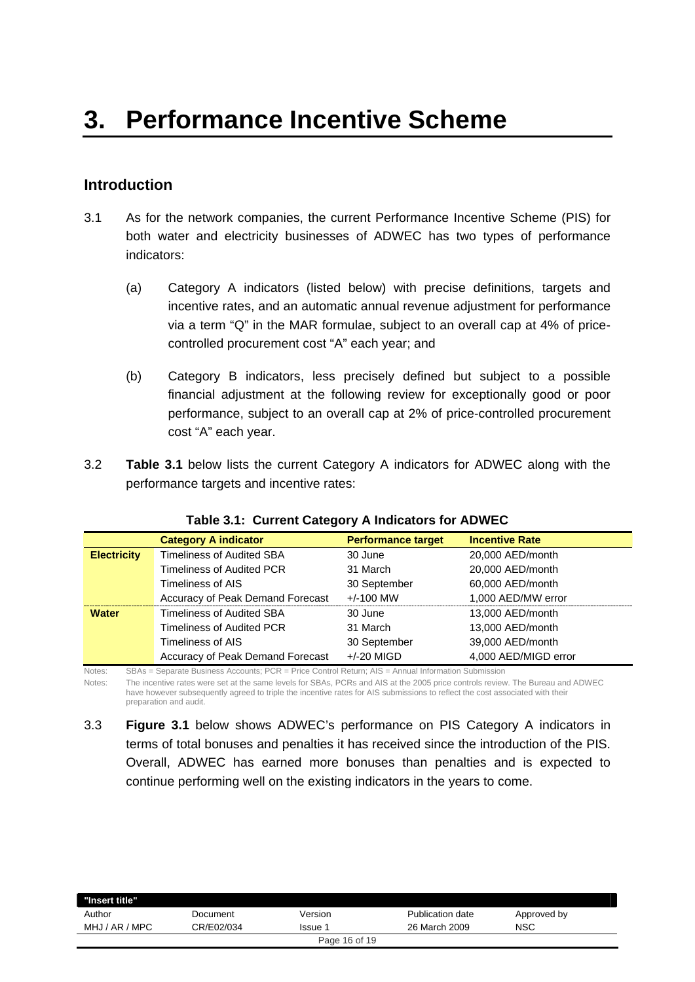## **Introduction**

- 3.1 As for the network companies, the current Performance Incentive Scheme (PIS) for both water and electricity businesses of ADWEC has two types of performance indicators:
	- (a) Category A indicators (listed below) with precise definitions, targets and incentive rates, and an automatic annual revenue adjustment for performance via a term "Q" in the MAR formulae, subject to an overall cap at 4% of pricecontrolled procurement cost "A" each year; and
	- (b) Category B indicators, less precisely defined but subject to a possible financial adjustment at the following review for exceptionally good or poor performance, subject to an overall cap at 2% of price-controlled procurement cost "A" each year.
- 3.2 **Table 3.1** below lists the current Category A indicators for ADWEC along with the performance targets and incentive rates:

|                    | <b>Category A indicator</b>      | <b>Performance target</b> | <b>Incentive Rate</b> |
|--------------------|----------------------------------|---------------------------|-----------------------|
| <b>Electricity</b> | <b>Timeliness of Audited SBA</b> | 30 June                   | 20,000 AED/month      |
|                    | Timeliness of Audited PCR        | 31 March                  | 20,000 AED/month      |
|                    | Timeliness of AIS                | 30 September              | 60,000 AED/month      |
|                    | Accuracy of Peak Demand Forecast | $+/-100$ MW               | 1,000 AED/MW error    |
| <b>Water</b>       | Timeliness of Audited SBA        | 30 June                   | 13,000 AED/month      |
|                    | Timeliness of Audited PCR        | 31 March                  | 13,000 AED/month      |
|                    | Timeliness of AIS                | 30 September              | 39,000 AED/month      |
|                    | Accuracy of Peak Demand Forecast | $+/-20$ MIGD              | 4,000 AED/MIGD error  |

**Table 3.1: Current Category A Indicators for ADWEC** 

Notes: SBAs = Separate Business Accounts; PCR = Price Control Return; AIS = Annual Information Submission

Notes: The incentive rates were set at the same levels for SBAs, PCRs and AIS at the 2005 price controls review. The Bureau and ADWEC have however subsequently agreed to triple the incentive rates for AIS submissions to reflect the cost associated with their preparation and audit.

3.3 **Figure 3.1** below shows ADWEC's performance on PIS Category A indicators in terms of total bonuses and penalties it has received since the introduction of the PIS. Overall, ADWEC has earned more bonuses than penalties and is expected to continue performing well on the existing indicators in the years to come.

| "Insert title" |            |               |                  |             |
|----------------|------------|---------------|------------------|-------------|
| Author         | Document   | Version       | Publication date | Approved by |
| MHJ / AR / MPC | CR/E02/034 | Issue 1       | 26 March 2009    | NSC         |
|                |            | Page 16 of 19 |                  |             |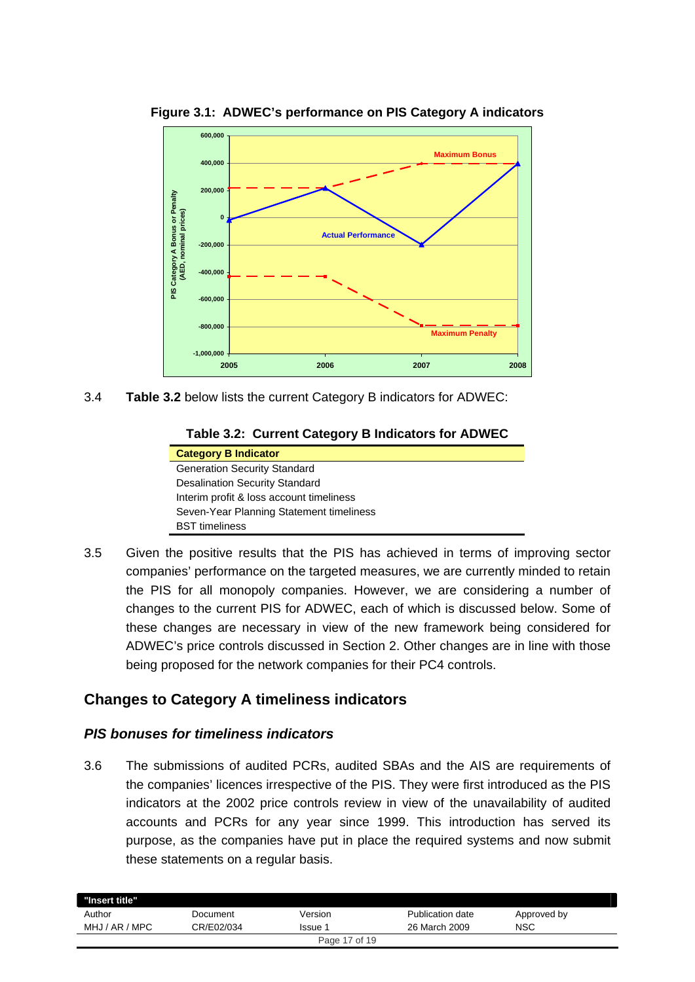

**Figure 3.1: ADWEC's performance on PIS Category A indicators** 

3.4 **Table 3.2** below lists the current Category B indicators for ADWEC:

| Table 3.2: Current Category B Indicators for ADWEC |  |  |  |
|----------------------------------------------------|--|--|--|
|----------------------------------------------------|--|--|--|

| <b>Category B Indicator</b>              |
|------------------------------------------|
| <b>Generation Security Standard</b>      |
| <b>Desalination Security Standard</b>    |
| Interim profit & loss account timeliness |
| Seven-Year Planning Statement timeliness |
| <b>BST</b> timeliness                    |

3.5 Given the positive results that the PIS has achieved in terms of improving sector companies' performance on the targeted measures, we are currently minded to retain the PIS for all monopoly companies. However, we are considering a number of changes to the current PIS for ADWEC, each of which is discussed below. Some of these changes are necessary in view of the new framework being considered for ADWEC's price controls discussed in Section 2. Other changes are in line with those being proposed for the network companies for their PC4 controls.

## **Changes to Category A timeliness indicators**

#### *PIS bonuses for timeliness indicators*

3.6 The submissions of audited PCRs, audited SBAs and the AIS are requirements of the companies' licences irrespective of the PIS. They were first introduced as the PIS indicators at the 2002 price controls review in view of the unavailability of audited accounts and PCRs for any year since 1999. This introduction has served its purpose, as the companies have put in place the required systems and now submit these statements on a regular basis.

| "Insert title" |            |         |                  |             |  |
|----------------|------------|---------|------------------|-------------|--|
| Author         | Document   | Version | Publication date | Approved by |  |
| MHJ / AR / MPC | CR/E02/034 | Issue   | 26 March 2009    | NSC         |  |
| Page 17 of 19  |            |         |                  |             |  |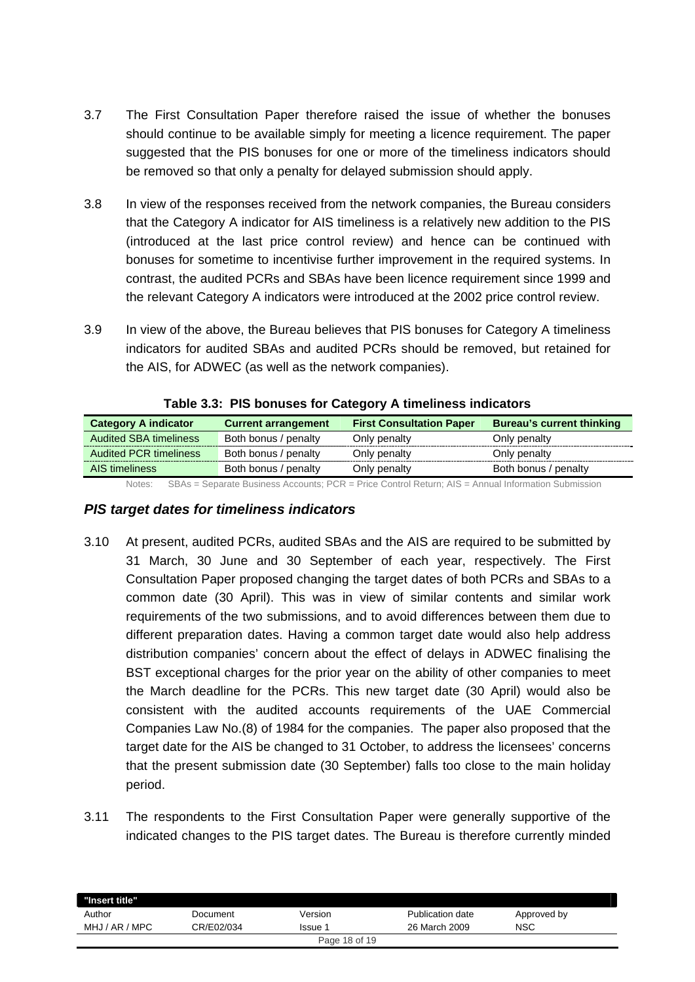- 3.7 The First Consultation Paper therefore raised the issue of whether the bonuses should continue to be available simply for meeting a licence requirement. The paper suggested that the PIS bonuses for one or more of the timeliness indicators should be removed so that only a penalty for delayed submission should apply.
- 3.8 In view of the responses received from the network companies, the Bureau considers that the Category A indicator for AIS timeliness is a relatively new addition to the PIS (introduced at the last price control review) and hence can be continued with bonuses for sometime to incentivise further improvement in the required systems. In contrast, the audited PCRs and SBAs have been licence requirement since 1999 and the relevant Category A indicators were introduced at the 2002 price control review.
- 3.9 In view of the above, the Bureau believes that PIS bonuses for Category A timeliness indicators for audited SBAs and audited PCRs should be removed, but retained for the AIS, for ADWEC (as well as the network companies).

| <b>Category A indicator</b>   | <b>Current arrangement</b> | <b>First Consultation Paper</b> | <b>Bureau's current thinking</b> |
|-------------------------------|----------------------------|---------------------------------|----------------------------------|
| <b>Audited SBA timeliness</b> | Both bonus / penalty       | Only penalty                    | Only penalty                     |
| <b>Audited PCR timeliness</b> | Both bonus / penalty       | Only penalty                    | Only penalty                     |
| AIS timeliness                | Both bonus / penalty       | Only penalty                    | Both bonus / penalty             |
|                               |                            |                                 |                                  |

**Table 3.3: PIS bonuses for Category A timeliness indicators** 

Notes: SBAs = Separate Business Accounts: PCR = Price Control Return: AIS = Annual Information Submission

#### *PIS target dates for timeliness indicators*

- 3.10 At present, audited PCRs, audited SBAs and the AIS are required to be submitted by 31 March, 30 June and 30 September of each year, respectively. The First Consultation Paper proposed changing the target dates of both PCRs and SBAs to a common date (30 April). This was in view of similar contents and similar work requirements of the two submissions, and to avoid differences between them due to different preparation dates. Having a common target date would also help address distribution companies' concern about the effect of delays in ADWEC finalising the BST exceptional charges for the prior year on the ability of other companies to meet the March deadline for the PCRs. This new target date (30 April) would also be consistent with the audited accounts requirements of the UAE Commercial Companies Law No.(8) of 1984 for the companies. The paper also proposed that the target date for the AIS be changed to 31 October, to address the licensees' concerns that the present submission date (30 September) falls too close to the main holiday period.
- 3.11 The respondents to the First Consultation Paper were generally supportive of the indicated changes to the PIS target dates. The Bureau is therefore currently minded

| "Insert title" |            |         |                  |             |  |
|----------------|------------|---------|------------------|-------------|--|
| Author         | Document   | Version | Publication date | Approved by |  |
| MHJ / AR / MPC | CR/E02/034 | Issue 1 | 26 March 2009    | <b>NSC</b>  |  |
| Page 18 of 19  |            |         |                  |             |  |